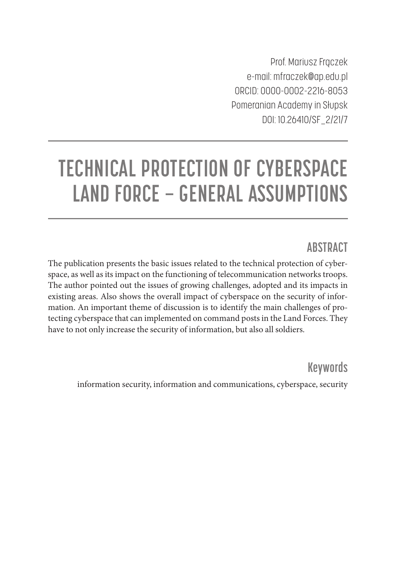Prof. Mariusz Frączek e-mail: mfraczek@ap.edu.pl ORCID: 0000-0002-2216-8053 Pomeranian Academy in Słupsk DOI: 10.26410/SF\_2/21/7

# **TECHNICAL PROTECTION OF CYBERSPACE LAND FORCE – GENERAL ASSUMPTIONS**

#### **ABSTRACT**

The publication presents the basic issues related to the technical protection of cyberspace, as well as its impact on the functioning of telecommunication networks troops. The author pointed out the issues of growing challenges, adopted and its impacts in existing areas. Also shows the overall impact of cyberspace on the security of information. An important theme of discussion is to identify the main challenges of protecting cyberspace that can implemented on command posts in the Land Forces. They have to not only increase the security of information, but also all soldiers.

**Keywords**

information security, information and communications, cyberspace, security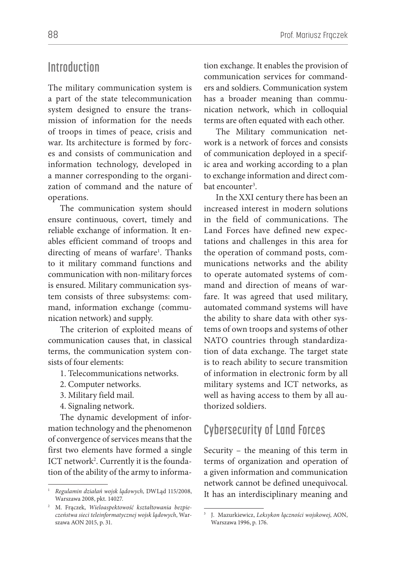#### **Introduction**

The military communication system is a part of the state telecommunication system designed to ensure the transmission of information for the needs of troops in times of peace, crisis and war. Its architecture is formed by forces and consists of communication and information technology, developed in a manner corresponding to the organization of command and the nature of operations.

The communication system should ensure continuous, covert, timely and reliable exchange of information. It enables efficient command of troops and directing of means of warfare<sup>1</sup>. Thanks to it military command functions and communication with non-military forces is ensured. Military communication system consists of three subsystems: command, information exchange (communication network) and supply.

The criterion of exploited means of communication causes that, in classical terms, the communication system consists of four elements:

- 1. Telecommunications networks.
- 2. Computer networks.
- 3. Military field mail.
- 4. Signaling network.

The dynamic development of information technology and the phenomenon of convergence of services means that the first two elements have formed a single ICT network<sup>2</sup>. Currently it is the foundation of the ability of the army to information exchange. It enables the provision of communication services for commanders and soldiers. Communication system has a broader meaning than communication network, which in colloquial terms are often equated with each other.

The Military communication network is a network of forces and consists of communication deployed in a specific area and working according to a plan to exchange information and direct combat encounter<sup>3</sup>.

In the XXI century there has been an increased interest in modern solutions in the field of communications. The Land Forces have defined new expectations and challenges in this area for the operation of command posts, communications networks and the ability to operate automated systems of command and direction of means of warfare. It was agreed that used military, automated command systems will have the ability to share data with other systems of own troops and systems of other NATO countries through standardization of data exchange. The target state is to reach ability to secure transmition of information in electronic form by all military systems and ICT networks, as well as having access to them by all authorized soldiers.

# **Cybersecurity of Land Forces**

Security – the meaning of this term in terms of organization and operation of a given information and communication network cannot be defined unequivocal. It has an interdisciplinary meaning and

<sup>1</sup> *Regulamin działań wojsk lądowych,* DWLąd 115/2008, Warszawa 2008, pkt. 14027.

<sup>2</sup> M. Frączek, *Wieloaspektowość kształtowania bezpieczeństwa sieci teleinformatycznej wojsk lądowych*, Warszawa AON 2015, p. 31.

<sup>3</sup> J. Mazurkiewicz, *Leksykon łączności wojskowej*, AON, Warszawa 1996, p. 176.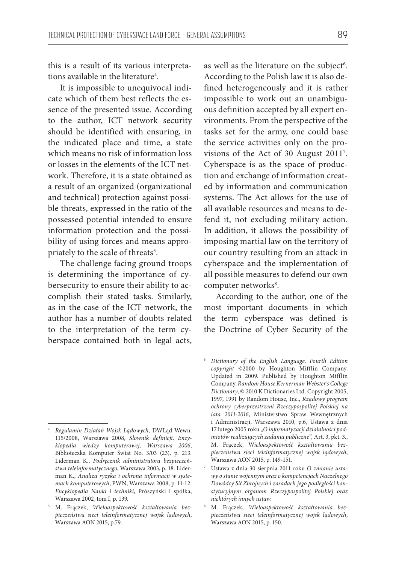this is a result of its various interpretations available in the literature<sup>4</sup>.

It is impossible to unequivocal indicate which of them best reflects the essence of the presented issue. According to the author, ICT network security should be identified with ensuring, in the indicated place and time, a state which means no risk of information loss or losses in the elements of the ICT network. Therefore, it is a state obtained as a result of an organized (organizational and technical) protection against possible threats, expressed in the ratio of the possessed potential intended to ensure information protection and the possibility of using forces and means appropriately to the scale of threats $^5$ .

The challenge facing ground troops is determining the importance of cybersecurity to ensure their ability to accomplish their stated tasks. Similarly, as in the case of the ICT network, the author has a number of doubts related to the interpretation of the term cyberspace contained both in legal acts,

as well as the literature on the subject<sup>6</sup>. According to the Polish law it is also defined heterogeneously and it is rather impossible to work out an unambiguous definition accepted by all expert environments. From the perspective of the tasks set for the army, one could base the service activities only on the provisions of the Act of 30 August 2011<sup>7</sup>. Cyberspace is as the space of production and exchange of information created by information and communication systems. The Act allows for the use of all available resources and means to defend it, not excluding military action. In addition, it allows the possibility of imposing martial law on the territory of our country resulting from an attack in cyberspace and the implementation of all possible measures to defend our own computer networks<sup>8</sup>.

According to the author, one of the most important documents in which the term cyberspace was defined is the Doctrine of Cyber Security of the

<sup>4</sup> *Regulamin Działań Wojsk Lądowych,* DWLąd Wewn. 115/2008, Warszawa 2008, *Słownik definicji*. *Encyklopedia wiedzy komputerowej, Warszawa 2006*, Biblioteczka Komputer Świat No. 3/03 (23), p. 213*.*  Liderman K., *Podręcznik administratora bezpieczeństwa teleinformatycznego*, Warszawa 2003, p. 18. Liderman K., *Analiza ryzyka i ochrona informacji w systemach komputerowych*, PWN, Warszawa 2008, p. 11-12. *Encyklopedia Nauki i techniki*, Prószyński i spółka, Warszawa 2002, tom I, p. 139.

<sup>5</sup> M. Frączek, *Wieloaspektowość kształtowania bezpieczeństwa sieci teleinformatycznej wojsk lądowych*, Warszawa AON 2015, p.79.

<sup>6</sup> *Dictionary of the English Language, Fourth Edition copyright* ©2000 by Houghton Mifflin Company. Updated in 2009. Published by Houghton Mifflin Company, *Random House Kernerman Webster's College Dictionary*, © 2010 K Dictionaries Ltd. Copyright 2005, 1997, 1991 by Random House, Inc., *Rządowy program ochrony cyberprzestrzeni Rzeczypospolitej Polskiej na lata 2011-2016*, Ministerstwo Spraw Wewnętrznych i Administracji, Warszawa 2010, p.6, Ustawa z dnia 17 lutego 2005 roku *"O informatyzacji działalności podmiotów realizujących zadania publiczne",* Art. 3, pkt. 3., M. Frączek, W*ieloaspektowość kształtowania bezpieczeństwa sieci teleinformatycznej wojsk lądowych*, Warszawa AON 2015, p. 149-151.

<sup>7</sup> Ustawa z dnia 30 sierpnia 2011 roku *O zmianie ustawy o stanie wojennym oraz o kompetencjach Naczelnego Dowódcy Sił Zbrojnych i zasadach jego podległości konstytucyjnym organom Rzeczypospolitej Polskiej oraz niektórych innych ustaw.*

<sup>8</sup> M. Frączek, *Wieloaspektowość kształtowania bezpieczeństwa sieci teleinformatycznej wojsk lądowych*, Warszawa AON 2015, p. 150.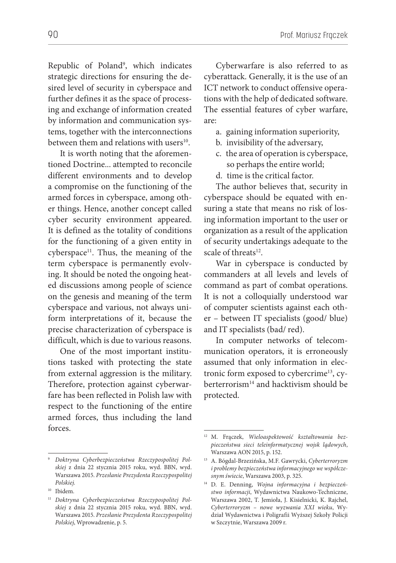Republic of Poland9 , which indicates strategic directions for ensuring the desired level of security in cyberspace and further defines it as the space of processing and exchange of information created by information and communication systems, together with the interconnections between them and relations with users<sup>10</sup>.

It is worth noting that the aforementioned Doctrine... attempted to reconcile different environments and to develop a compromise on the functioning of the armed forces in cyberspace, among other things. Hence, another concept called cyber security environment appeared. It is defined as the totality of conditions for the functioning of a given entity in  $cy$ berspace<sup>11</sup>. Thus, the meaning of the term cyberspace is permanently evolving. It should be noted the ongoing heated discussions among people of science on the genesis and meaning of the term cyberspace and various, not always uniform interpretations of it, because the precise characterization of cyberspace is difficult, which is due to various reasons.

One of the most important institutions tasked with protecting the state from external aggression is the military. Therefore, protection against cyberwarfare has been reflected in Polish law with respect to the functioning of the entire armed forces, thus including the land forces.

10 Ibidem*.* 

Cyberwarfare is also referred to as cyberattack. Generally, it is the use of an ICT network to conduct offensive operations with the help of dedicated software. The essential features of cyber warfare, are:

- a. gaining information superiority,
- b. invisibility of the adversary,
- c. the area of operation is cyberspace, so perhaps the entire world;
- d. time is the critical factor.

The author believes that, security in cyberspace should be equated with ensuring a state that means no risk of losing information important to the user or organization as a result of the application of security undertakings adequate to the scale of threats<sup>12</sup>.

War in cyberspace is conducted by commanders at all levels and levels of command as part of combat operations. It is not a colloquially understood war of computer scientists against each other – between IT specialists (good/ blue) and IT specialists (bad/ red).

In computer networks of telecommunication operators, it is erroneously assumed that only information in electronic form exposed to cybercrime<sup>13</sup>, cyberterrorism<sup>14</sup> and hacktivism should be protected.

<sup>9</sup> *Doktryna Cyberbezpieczeństwa Rzeczypospolitej Polskiej* z dnia 22 stycznia 2015 roku, wyd. BBN, wyd. Warszawa 2015. *Przesłanie Prezydenta Rzeczypospolitej Polskiej.*

<sup>11</sup> *Doktryna Cyberbezpieczeństwa Rzeczypospolitej Polskiej* z dnia 22 stycznia 2015 roku, wyd. BBN, wyd. Warszawa 2015. *Przesłanie Prezydenta Rzeczypospolitej Polskiej*, Wprowadzenie, p. 5.

<sup>12</sup> M. Frączek, *Wieloaspektowość kształtowania bezpieczeństwa sieci teleinformatycznej wojsk lądowych*, Warszawa AON 2015, p. 152.

<sup>13</sup> A. Bógdal-Brzezińska, M.F. Gawrycki, *Cyberterroryzm i problemy bezpieczeństwa informacyjnego we współczesnym świecie*, Warszawa 2003, p. 325.

<sup>14</sup> D. E. Denning, *Wojna informacyjna i bezpieczeństwo informacji*, Wydawnictwa Naukowo-Techniczne, Warszawa 2002, T. Jemioła, J. Kisielnicki, K. Rajchel, *Cyberterroryzm – nowe wyzwania XXI wieku*, Wydział Wydawnictwa i Poligrafii Wyższej Szkoły Policji w Szczytnie, Warszawa 2009 r.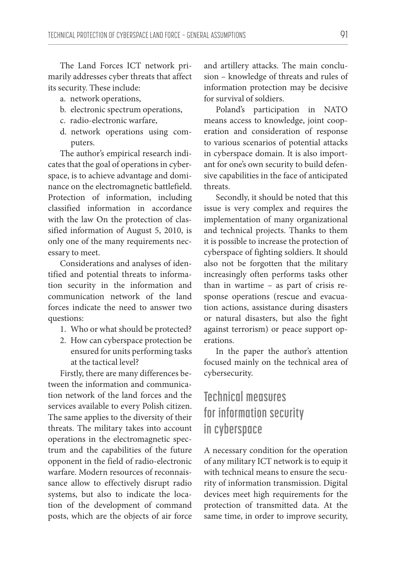The Land Forces ICT network primarily addresses cyber threats that affect its security. These include:

- a. network operations,
- b. electronic spectrum operations,
- c. radio-electronic warfare,
- d. network operations using computers.

The author's empirical research indicates that the goal of operations in cyberspace, is to achieve advantage and dominance on the electromagnetic battlefield. Protection of information, including classified information in accordance with the law On the protection of classified information of August 5, 2010, is only one of the many requirements necessary to meet.

Considerations and analyses of identified and potential threats to information security in the information and communication network of the land forces indicate the need to answer two questions:

- 1. Who or what should be protected?
- 2. How can cyberspace protection be ensured for units performing tasks at the tactical level?

Firstly, there are many differences between the information and communication network of the land forces and the services available to every Polish citizen. The same applies to the diversity of their threats. The military takes into account operations in the electromagnetic spectrum and the capabilities of the future opponent in the field of radio-electronic warfare. Modern resources of reconnaissance allow to effectively disrupt radio systems, but also to indicate the location of the development of command posts, which are the objects of air force and artillery attacks. The main conclusion – knowledge of threats and rules of information protection may be decisive for survival of soldiers.

Poland's participation in NATO means access to knowledge, joint cooperation and consideration of response to various scenarios of potential attacks in cyberspace domain. It is also important for one's own security to build defensive capabilities in the face of anticipated threats.

Secondly, it should be noted that this issue is very complex and requires the implementation of many organizational and technical projects. Thanks to them it is possible to increase the protection of cyberspace of fighting soldiers. It should also not be forgotten that the military increasingly often performs tasks other than in wartime – as part of crisis response operations (rescue and evacuation actions, assistance during disasters or natural disasters, but also the fight against terrorism) or peace support operations.

In the paper the author's attention focused mainly on the technical area of cybersecurity.

# **Technical measures for information security in cyberspace**

A necessary condition for the operation of any military ICT network is to equip it with technical means to ensure the security of information transmission. Digital devices meet high requirements for the protection of transmitted data. At the same time, in order to improve security,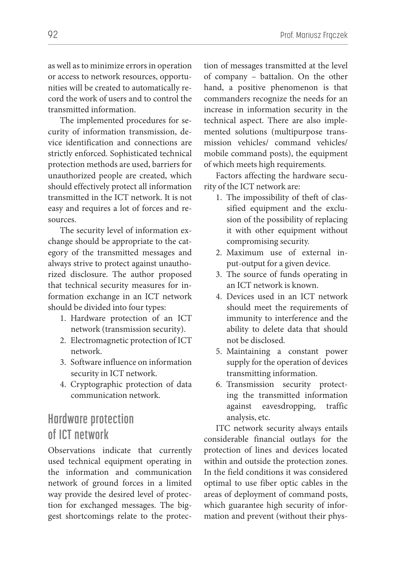as well as to minimize errors in operation or access to network resources, opportunities will be created to automatically record the work of users and to control the transmitted information.

The implemented procedures for security of information transmission, device identification and connections are strictly enforced. Sophisticated technical protection methods are used, barriers for unauthorized people are created, which should effectively protect all information transmitted in the ICT network. It is not easy and requires a lot of forces and resources.

The security level of information exchange should be appropriate to the category of the transmitted messages and always strive to protect against unauthorized disclosure. The author proposed that technical security measures for information exchange in an ICT network should be divided into four types:

- 1. Hardware protection of an ICT network (transmission security).
- 2. Electromagnetic protection of ICT network.
- 3. Software influence on information security in ICT network.
- 4. Cryptographic protection of data communication network.

### **Hardware protection of ICT network**

Observations indicate that currently used technical equipment operating in the information and communication network of ground forces in a limited way provide the desired level of protection for exchanged messages. The biggest shortcomings relate to the protection of messages transmitted at the level of company – battalion. On the other hand, a positive phenomenon is that commanders recognize the needs for an increase in information security in the technical aspect. There are also implemented solutions (multipurpose transmission vehicles/ command vehicles/ mobile command posts), the equipment of which meets high requirements.

Factors affecting the hardware security of the ICT network are:

- 1. The impossibility of theft of classified equipment and the exclusion of the possibility of replacing it with other equipment without compromising security.
- 2. Maximum use of external input-output for a given device.
- 3. The source of funds operating in an ICT network is known.
- 4. Devices used in an ICT network should meet the requirements of immunity to interference and the ability to delete data that should not be disclosed.
- 5. Maintaining a constant power supply for the operation of devices transmitting information.
- 6. Transmission security protecting the transmitted information against eavesdropping, traffic analysis, etc.

ITC network security always entails considerable financial outlays for the protection of lines and devices located within and outside the protection zones. In the field conditions it was considered optimal to use fiber optic cables in the areas of deployment of command posts, which guarantee high security of information and prevent (without their phys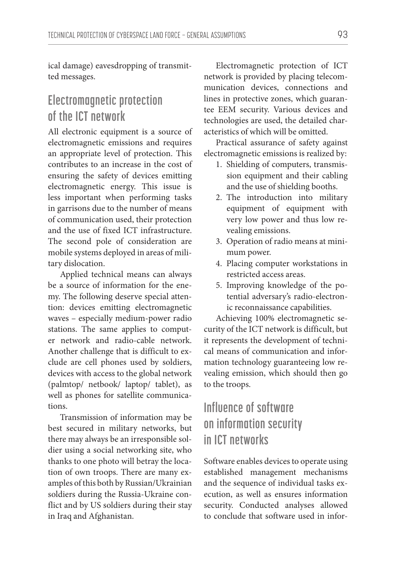ical damage) eavesdropping of transmitted messages.

### **Electromagnetic protection of the ICT network**

All electronic equipment is a source of electromagnetic emissions and requires an appropriate level of protection. This contributes to an increase in the cost of ensuring the safety of devices emitting electromagnetic energy. This issue is less important when performing tasks in garrisons due to the number of means of communication used, their protection and the use of fixed ICT infrastructure. The second pole of consideration are mobile systems deployed in areas of military dislocation.

Applied technical means can always be a source of information for the enemy. The following deserve special attention: devices emitting electromagnetic waves – especially medium-power radio stations. The same applies to computer network and radio-cable network. Another challenge that is difficult to exclude are cell phones used by soldiers, devices with access to the global network (palmtop/ netbook/ laptop/ tablet), as well as phones for satellite communications.

Transmission of information may be best secured in military networks, but there may always be an irresponsible soldier using a social networking site, who thanks to one photo will betray the location of own troops. There are many examples of this both by Russian/Ukrainian soldiers during the Russia-Ukraine conflict and by US soldiers during their stay in Iraq and Afghanistan.

Electromagnetic protection of ICT network is provided by placing telecommunication devices, connections and lines in protective zones, which guarantee EEM security. Various devices and technologies are used, the detailed characteristics of which will be omitted.

Practical assurance of safety against electromagnetic emissions is realized by:

- 1. Shielding of computers, transmission equipment and their cabling and the use of shielding booths.
- 2. The introduction into military equipment of equipment with very low power and thus low revealing emissions.
- 3. Operation of radio means at minimum power.
- 4. Placing computer workstations in restricted access areas.
- 5. Improving knowledge of the potential adversary's radio-electronic reconnaissance capabilities.

Achieving 100% electromagnetic security of the ICT network is difficult, but it represents the development of technical means of communication and information technology guaranteeing low revealing emission, which should then go to the troops.

# **Influence of software on information security in ICT networks**

Software enables devices to operate using established management mechanisms and the sequence of individual tasks execution, as well as ensures information security. Conducted analyses allowed to conclude that software used in infor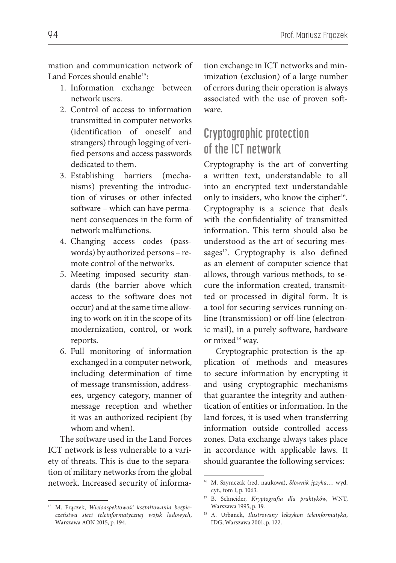mation and communication network of Land Forces should enable15:

- 1. Information exchange between network users.
- 2. Control of access to information transmitted in computer networks (identification of oneself and strangers) through logging of verified persons and access passwords dedicated to them.
- 3. Establishing barriers (mechanisms) preventing the introduction of viruses or other infected software – which can have permanent consequences in the form of network malfunctions.
- 4. Changing access codes (passwords) by authorized persons – remote control of the networks.
- 5. Meeting imposed security standards (the barrier above which access to the software does not occur) and at the same time allowing to work on it in the scope of its modernization, control, or work reports.
- 6. Full monitoring of information exchanged in a computer network, including determination of time of message transmission, addressees, urgency category, manner of message reception and whether it was an authorized recipient (by whom and when).

The software used in the Land Forces ICT network is less vulnerable to a variety of threats. This is due to the separation of military networks from the global network. Increased security of information exchange in ICT networks and minimization (exclusion) of a large number of errors during their operation is always associated with the use of proven software.

## **Cryptographic protection of the ICT network**

Cryptography is the art of converting a written text, understandable to all into an encrypted text understandable only to insiders, who know the cipher<sup>16</sup>. Cryptography is a science that deals with the confidentiality of transmitted information. This term should also be understood as the art of securing messages $17$ . Cryptography is also defined as an element of computer science that allows, through various methods, to secure the information created, transmitted or processed in digital form. It is a tool for securing services running online (transmission) or off-line (electronic mail), in a purely software, hardware or mixed<sup>18</sup> way.

Cryptographic protection is the application of methods and measures to secure information by encrypting it and using cryptographic mechanisms that guarantee the integrity and authentication of entities or information. In the land forces, it is used when transferring information outside controlled access zones. Data exchange always takes place in accordance with applicable laws. It should guarantee the following services:

<sup>15</sup> M. Frączek, *Wieloaspektowość kształtowania bezpieczeństwa sieci teleinformatycznej wojsk lądowych*, Warszawa AON 2015, p. 194.

<sup>16</sup> M. Szymczak (red. naukowa), *Słownik języka…*, wyd. cyt., tom I, p. 1063.

<sup>17</sup> B. Schneider, *Kryptografia dla praktyków*, WNT, Warszawa 1995, p. 19.

<sup>18</sup> A. Urbanek, *Ilustrowany leksykon teleinformatyka*, IDG, Warszawa 2001, p. 122.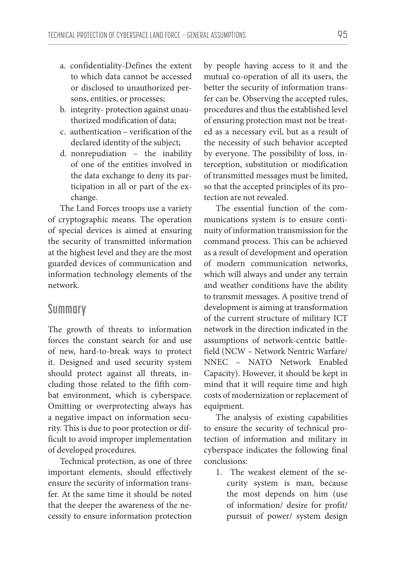- a. confidentiality-Defines the extent to which data cannot be accessed or disclosed to unauthorized persons, entities, or processes;
- b. integrity- protection against unauthorized modification of data;
- c. authentication verification of the declared identity of the subject;
- d. nonrepudiation the inability of one of the entities involved in the data exchange to deny its participation in all or part of the exchange.

The Land Forces troops use a variety of cryptographic means. The operation of special devices is aimed at ensuring the security of transmitted information at the highest level and they are the most guarded devices of communication and information technology elements of the network.

#### **Summary**

The growth of threats to information forces the constant search for and use of new, hard-to-break ways to protect it. Designed and used security system should protect against all threats, including those related to the fifth combat environment, which is cyberspace. Omitting or overprotecting always has a negative impact on information security. This is due to poor protection or difficult to avoid improper implementation of developed procedures.

Technical protection, as one of three important elements, should effectively ensure the security of information transfer. At the same time it should be noted that the deeper the awareness of the necessity to ensure information protection

by people having access to it and the mutual co-operation of all its users, the better the security of information transfer can be. Observing the accepted rules, procedures and thus the established level of ensuring protection must not be treated as a necessary evil, but as a result of the necessity of such behavior accepted by everyone. The possibility of loss, interception, substitution or modification of transmitted messages must be limited, so that the accepted principles of its protection are not revealed.

The essential function of the communications system is to ensure continuity of information transmission for the command process. This can be achieved as a result of development and operation of modern communication networks, which will always and under any terrain and weather conditions have the ability to transmit messages. A positive trend of development is aiming at transformation of the current structure of military ICT network in the direction indicated in the assumptions of network-centric battlefield (NCW – Network Nentric Warfare/ NNEC – NATO Network Enabled Capacity). However, it should be kept in mind that it will require time and high costs of modernization or replacement of equipment.

The analysis of existing capabilities to ensure the security of technical protection of information and military in cyberspace indicates the following final conclusions:

1. The weakest element of the security system is man, because the most depends on him (use of information/ desire for profit/ pursuit of power/ system design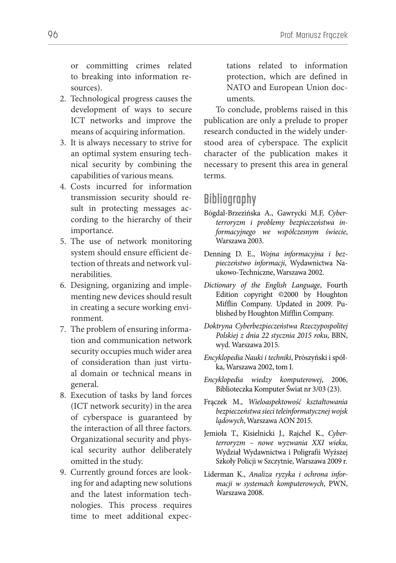or committing crimes related to breaking into information resources).

- 2. Technological progress causes the development of ways to secure ICT networks and improve the means of acquiring information.
- 3. It is always necessary to strive for an optimal system ensuring technical security by combining the capabilities of various means.
- 4. Costs incurred for information transmission security should result in protecting messages according to the hierarchy of their importance.
- 5. The use of network monitoring system should ensure efficient detection of threats and network vulnerabilities.
- 6. Designing, organizing and implementing new devices should result in creating a secure working environment.
- 7. The problem of ensuring information and communication network security occupies much wider area of consideration than just virtual domain or technical means in general.
- 8. Execution of tasks by land forces (ICT network security) in the area of cyberspace is guaranteed by the interaction of all three factors. Organizational security and physical security author deliberately omitted in the study.
- 9. Currently ground forces are looking for and adapting new solutions and the latest information technologies. This process requires time to meet additional expec-

tations related to information protection, which are defined in NATO and European Union documents.

To conclude, problems raised in this publication are only a prelude to proper research conducted in the widely understood area of cyberspace. The explicit character of the publication makes it necessary to present this area in general terms.

#### **Bibliography**

- Bógdal-Brzezińska A., Gawrycki M.F, *Cyberterroryzm i problemy bezpieczeństwa informacyjnego we współczesnym świecie*, Warszawa 2003.
- Denning D. E., *Wojna informacyjna i bezpieczeństwo informacji*, Wydawnictwa Naukowo-Techniczne, Warszawa 2002.
- *Dictionary of the English Language*, Fourth Edition copyright ©2000 by Houghton Mifflin Company. Updated in 2009. Published by Houghton Mifflin Company.
- *Doktryna Cyberbezpieczeństwa Rzeczypospolitej Polskiej z dnia 22 stycznia 2015 roku*, BBN, wyd. Warszawa 2015.
- *Encyklopedia Nauki i techniki*, Prószyński i spółka, Warszawa 2002, tom I.
- *Encyklopedia wiedzy komputerowej*, 2006, Biblioteczka Komputer Świat nr 3/03 (23).
- Frączek M., *Wieloaspektowość kształtowania bezpieczeństwa sieci teleinformatycznej wojsk lądowych*, Warszawa AON 2015.
- Jemioła T., Kisielnicki J., Rajchel K., *Cyberterroryzm – nowe wyzwania XXI wieku*, Wydział Wydawnictwa i Poligrafii Wyższej Szkoły Policji w Szczytnie, Warszawa 2009 r.
- Liderman K., *Analiza ryzyka i ochrona informacji w systemach komputerowych*, PWN, Warszawa 2008.